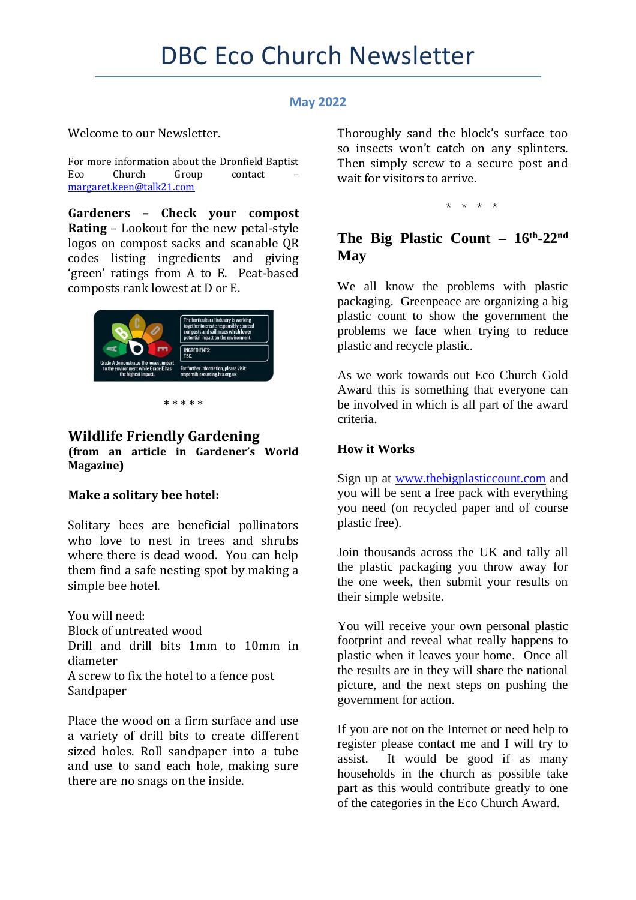## **May 2022**

Welcome to our Newsletter.

For more information about the Dronfield Baptist Eco Church Group contact [margaret.keen@talk21.com](mailto:margaret.keen@talk21.com)

**Gardeners – Check your compost Rating** – Lookout for the new petal-style logos on compost sacks and scanable QR codes listing ingredients and giving 'green' ratings from A to E. Peat-based composts rank lowest at D or E.



\* \* \* \* \*

# **Wildlife Friendly Gardening**

**(from an article in Gardener's World Magazine)**

## **Make a solitary bee hotel:**

Solitary bees are beneficial pollinators who love to nest in trees and shrubs where there is dead wood. You can help them find a safe nesting spot by making a simple bee hotel.

You will need: Block of untreated wood Drill and drill bits 1mm to 10mm in diameter A screw to fix the hotel to a fence post Sandpaper

Place the wood on a firm surface and use a variety of drill bits to create different sized holes. Roll sandpaper into a tube and use to sand each hole, making sure there are no snags on the inside.

Thoroughly sand the block's surface too so insects won't catch on any splinters. Then simply screw to a secure post and wait for visitors to arrive.

\* \* \* \*

## **The Big Plastic Count – 16th -22nd May**

We all know the problems with plastic packaging. Greenpeace are organizing a big plastic count to show the government the problems we face when trying to reduce plastic and recycle plastic.

As we work towards out Eco Church Gold Award this is something that everyone can be involved in which is all part of the award criteria.

## **How it Works**

Sign up at [www.thebigplasticcount.com](http://www.thebigplasticcount.com/) and you will be sent a free pack with everything you need (on recycled paper and of course plastic free).

Join thousands across the UK and tally all the plastic packaging you throw away for the one week, then submit your results on their simple website.

You will receive your own personal plastic footprint and reveal what really happens to plastic when it leaves your home. Once all the results are in they will share the national picture, and the next steps on pushing the government for action.

If you are not on the Internet or need help to register please contact me and I will try to assist. It would be good if as many households in the church as possible take part as this would contribute greatly to one of the categories in the Eco Church Award.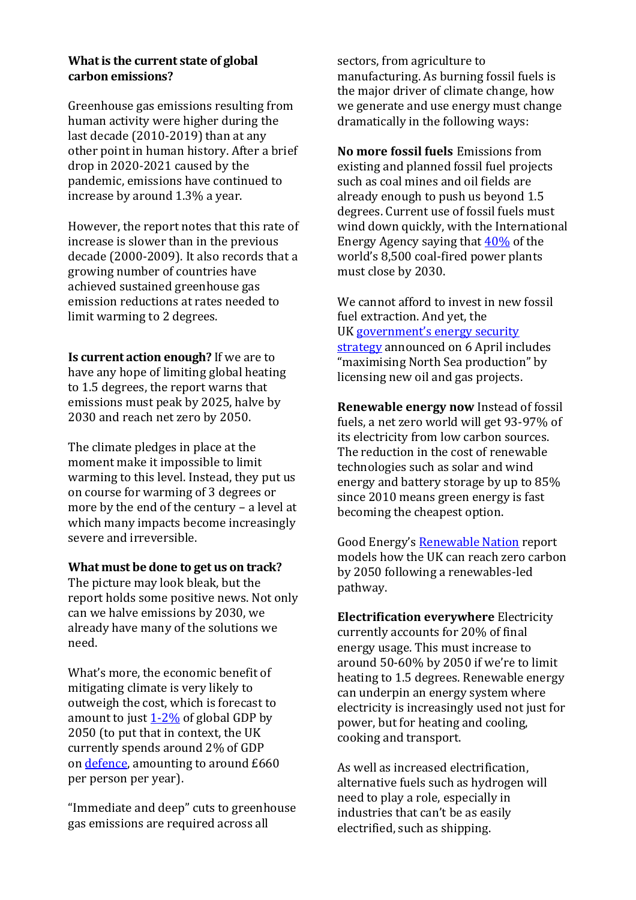### **What is the current state of global carbon emissions?**

Greenhouse gas emissions resulting from human activity were higher during the last decade (2010-2019) than at any other point in human history. After a brief drop in 2020-2021 caused by the pandemic, emissions have continued to increase by around 1.3% a year.

However, the report notes that this rate of increase is slower than in the previous decade (2000-2009). It also records that a growing number of countries have achieved sustained greenhouse gas emission reductions at rates needed to limit warming to 2 degrees.

**Is current action enough?** If we are to have any hope of limiting global heating to 1.5 degrees, the report warns that emissions must peak by 2025, halve by 2030 and reach net zero by 2050.

The climate pledges in place at the moment make it impossible to limit warming to this level. Instead, they put us on course for warming of 3 degrees or more by the end of the century – a level at which many impacts become increasingly severe and irreversible.

#### **What must be done to get us on track?**

The picture may look bleak, but the report holds some positive news. Not only can we halve emissions by 2030, we already have many of the solutions we need.

What's more, the economic benefit of mitigating climate is very likely to outweigh the cost, which is forecast to amount to just  $1-2\%$  of global GDP by 2050 (to put that in context, the UK currently spends around 2% of GDP on [defence,](https://theconversation.com/defence-cuts-effectively-paid-for-uk-welfare-state-for-60-years-but-that-looks-impossible-after-ukraine-178680) amounting to around £660 per person per year).

"Immediate and deep" cuts to greenhouse gas emissions are required across all

sectors, from agriculture to manufacturing. As burning fossil fuels is the major driver of climate change, how we generate and use energy must change dramatically in the following ways:

**No more fossil fuels** Emissions from existing and planned fossil fuel projects such as coal mines and oil fields are already enough to push us beyond 1.5 degrees. Current use of fossil fuels must wind down quickly, with the International Energy Agency saying that [40%](https://www.theguardian.com/environment/2021/nov/15/ratchets-phase-downs-and-a-fragile-agreement-how-cop26-played-out) of the world's 8,500 coal-fired power plants must close by 2030.

We cannot afford to invest in new fossil fuel extraction. And yet, the UK [government's energy security](https://www.gov.uk/government/news/major-acceleration-of-homegrown-power-in-britains-plan-for-greater-energy-independence)  [strategy](https://www.gov.uk/government/news/major-acceleration-of-homegrown-power-in-britains-plan-for-greater-energy-independence) announced on 6 April includes "maximising North Sea production" by licensing new oil and gas projects.

**Renewable energy now** Instead of fossil fuels, a net zero world will get 93-97% of its electricity from low carbon sources. The reduction in the cost of renewable technologies such as solar and wind energy and battery storage by up to 85% since 2010 means green energy is fast becoming the cheapest option.

Good Energy's [Renewable Nation](https://www.goodenergy.co.uk/business/exclusive/renewable-nation) report models how the UK can reach zero carbon by 2050 following a renewables-led pathway.

**Electrification everywhere** Electricity currently accounts for 20% of final energy usage. This must increase to around 50-60% by 2050 if we're to limit heating to 1.5 degrees. Renewable energy can underpin an energy system where electricity is increasingly used not just for power, but for heating and cooling, cooking and transport.

As well as increased electrification, alternative fuels such as hydrogen will need to play a role, especially in industries that can't be as easily electrified, such as shipping.